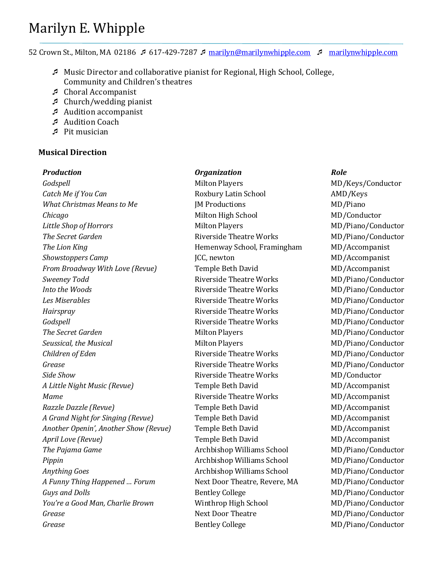# Marilyn E. Whipple

52 Crown St., Milton, MA 02186 617-429-7287 [marilyn@marilynwhipple.com](mailto:marilyn@marilynwhipple.com)  [marilynwhipple.com](http://www.marilynwhipple.com/)

- Music Director and collaborative pianist for Regional, High School, College, Community and Children's theatres
- Choral Accompanist
- $\sqrt{2}$  Church/wedding pianist
- Audition accompanist
- Audition Coach
- $\sqrt{P}$  Pit musician

# **Musical Direction**

# *Production Organization Role*

*Godspell* Milton Players Milton Players MD/Keys/Conductor *Catch Me if You Can* **Roxbury Latin School AMD/Keys** *What Christmas Means to Me* **IM Productions MEXAL MEXAL MEXAL MEXAL MEXAL MEXAL MEXAL MEXAL MEXAL MEXAL MEXAL MEXAL MEXAL MEXAL MEXAL MEXAL MEXAL MEXAL MEXAL MEXAL MEXAL MEXAL MEXAL MEXAL MEXAL MEXAL MEXAL MEXAL MEXAL M** *Chicago* Milton High School MD/Conductor *Little Shop of Horrors* **Milton Players** Milton Players MD/Piano/Conductor **The Secret Garden Riverside Theatre Works** MD/Piano/Conductor **The Lion King The Lion King The Lion King The Lion King The Lion King The Lion King The Lion King The Lion King The Lion King The Lion King The Lion King The Lion King The Lion King The Lion King The Lion King The Lion Ki** *Showstoppers Camp* **ICC, newton JCC, newton MD/Accompanist** *From Broadway With Love (Revue)* Temple Beth David MD/Accompanist **Sweeney Todd Riverside Theatre Works** MD/Piano/Conductor *Into the Woods* **Riverside Theatre Works** MD/Piano/Conductor *Les Miserables* **Riverside Theatre Works** MD/Piano/Conductor *Hairspray* Riverside Theatre Works MD/Piano/Conductor *Godspell* **Riverside Theatre Works** MD/Piano/Conductor **The Secret Garden** Milton Players Milton Players MD/Piano/Conductor **Seussical, the Musical Conductor Milton Players MILTON MILTON MILTON MILTON MILTON MILTON MILTON MILTON MILTON** *Children of Eden* **Riverside Theatre Works** MD/Piano/Conductor *Grease* MD/Piano/Conductor Riverside Theatre Works MD/Piano/Conductor **Side Show Riverside Theatre Works MD/Conductor** A Little Night Music (Revue) **Temple Beth David** MD/Accompanist *Mame* Monetable Theatre Works MD/Accompanist Riverside Theatre Works MD/Accompanist *Razzle Dazzle (Revue)* Temple Beth David MD/Accompanist A Grand Night for Singing (Revue) Temple Beth David MD/Accompanist *Another Openin', Another Show (Revue)* Temple Beth David MD/Accompanist *April Love (Revue)* Temple Beth David MD/Accompanist *The Pajama Game* 2 **Archbishop Williams School** MD/Piano/Conductor *Pippin* Multiams School MD/Piano/Conductor Archbishop Williams School MD/Piano/Conductor Anything Goes **Archbishop Williams School** MD/Piano/Conductor *A Funny Thing Happened … Forum* Next Door Theatre, Revere, MA MD/Piano/Conductor *Guys and Dolls* Bentley College MD/Piano/Conductor *You're a Good Man, Charlie Brown* Winthrop High School MD/Piano/Conductor *Grease* MD/Piano/Conductor **Grease** Sentley College MD/Piano/Conductor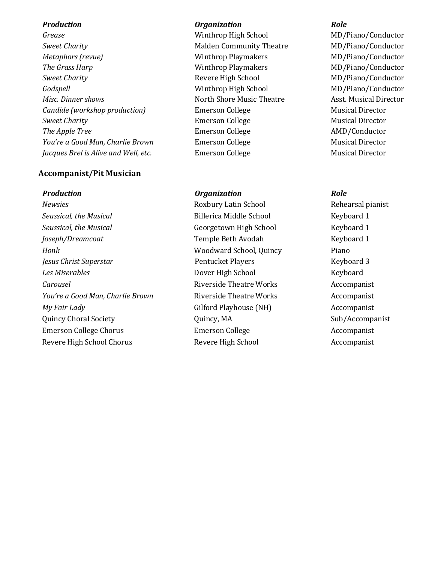**Sweet Charity Community Theatre** Malden Community Theatre MD/Piano/Conductor *Metaphors (revue)* Winthrop Playmakers MD/Piano/Conductor *The Grass Harp* **Minthrop Playmakers** MD/Piano/Conductor **Sweet Charity Revere High School Revere High School MD/Piano/Conductor** *Godspell* Winthrop High School MD/Piano/Conductor *Misc. Dinner shows* North Shore Music Theatre Asst. Musical Director Asst. Musical Director *Candide (workshop production)* Emerson College **Emerson** College Musical Director **Sweet Charity Emerson College Emerson College** Musical Director **The Apple Tree** The Emerson College **Emerson College** AMD/Conductor *You're a Good Man, Charlie Brown* Emerson College Emerson College Musical Director *Jacques Brel is Alive and Well, etc.* Emerson College **Musical Director** Musical Director

## **Accompanist/Pit Musician**

*Newsies* Roxbury Latin School Rehearsal pianist *Seussical, the Musical* Billerica Middle School Keyboard 1 *Seussical, the Musical* Georgetown High School Keyboard 1 *Joseph/Dreamcoat* Temple Beth Avodah Keyboard 1 *Honk* Woodward School, Quincy Piano *Jesus Christ Superstar* **Pentucket Players Pentucket Players Reyboard 3 Les Miserables Dover High School Constants Except Keyboard Carousel Carousel Riverside Theatre Works Accompanist** *You're a Good Man, Charlie Brown* Riverside Theatre Works Accompanist *My Fair Lady* **Gilford Playhouse (NH)** Accompanist Quincy Choral Society **Choral Society** Quincy, MA Sub/Accompanist Emerson College Chorus **Emerson College** Accompanist Emerson College Accompanist Revere High School Chorus **Revere High School** Accompanist

## *Production Organization Role*

*Grease* Minthrop High School MD/Piano/Conductor

### *Production Organization Role*